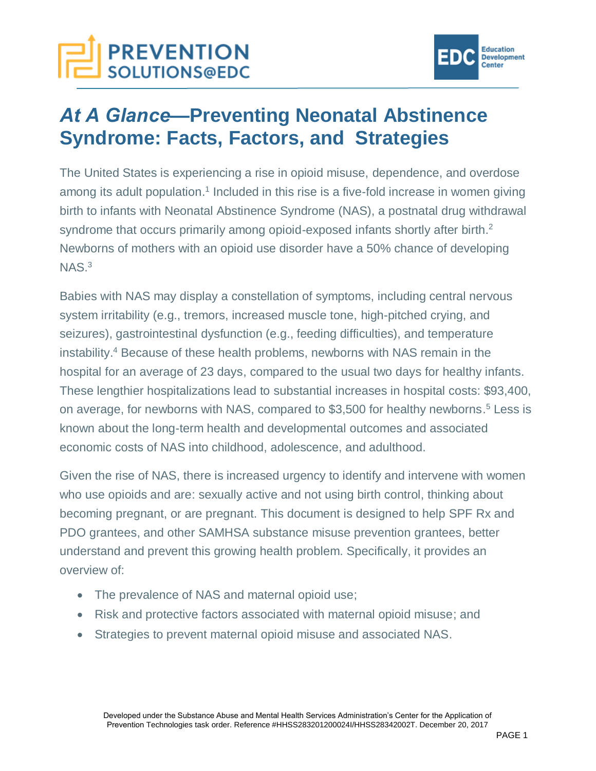# **PREVENTION**<br>SOLUTIONS@EDC



# *At A Glance—***Preventing Neonatal Abstinence Syndrome: Facts, Factors, and Strategies**

The United States is experiencing a rise in opioid misuse, dependence, and overdose among its adult population.<sup>1</sup> Included in this rise is a five-fold increase in women giving birth to infants with Neonatal Abstinence Syndrome (NAS), a postnatal drug withdrawal syndrome that occurs primarily among opioid-exposed infants shortly after birth.<sup>2</sup> Newborns of mothers with an opioid use disorder have a 50% chance of developing  $NAS.<sup>3</sup>$ 

Babies with NAS may display a constellation of symptoms, including central nervous system irritability (e.g., tremors, increased muscle tone, high-pitched crying, and seizures), gastrointestinal dysfunction (e.g., feeding difficulties), and temperature instability.<sup>4</sup> Because of these health problems, newborns with NAS remain in the hospital for an average of 23 days, compared to the usual two days for healthy infants. These lengthier hospitalizations lead to substantial increases in hospital costs: \$93,400, on average, for newborns with NAS, compared to \$3,500 for healthy newborns.<sup>5</sup> Less is known about the long-term health and developmental outcomes and associated economic costs of NAS into childhood, adolescence, and adulthood.

Given the rise of NAS, there is increased urgency to identify and intervene with women who use opioids and are: sexually active and not using birth control, thinking about becoming pregnant, or are pregnant. This document is designed to help SPF Rx and PDO grantees, and other SAMHSA substance misuse prevention grantees, better understand and prevent this growing health problem. Specifically, it provides an overview of:

- The prevalence of NAS and maternal opioid use;
- Risk and protective factors associated with maternal opioid misuse; and
- Strategies to prevent maternal opioid misuse and associated NAS.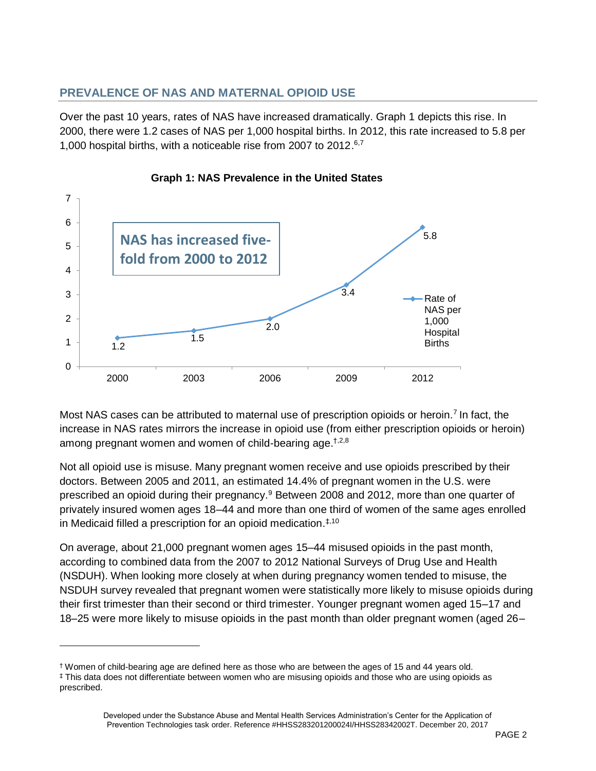# **PREVALENCE OF NAS AND MATERNAL OPIOID USE**

Over the past 10 years, rates of NAS have increased dramatically. Graph 1 depicts this rise. In 2000, there were 1.2 cases of NAS per 1,000 hospital births. In 2012, this rate increased to 5.8 per 1,000 hospital births, with a noticeable rise from 2007 to 2012.<sup>6,7</sup>



#### **Graph 1: NAS Prevalence in the United States**

Most NAS cases can be attributed to maternal use of prescription opioids or heroin.<sup>7</sup> In fact, the increase in NAS rates mirrors the increase in opioid use (from either prescription opioids or heroin) among pregnant women and women of child-bearing age.<sup>†,2,8</sup>

Not all opioid use is misuse. Many pregnant women receive and use opioids prescribed by their doctors. Between 2005 and 2011, an estimated 14.4% of pregnant women in the U.S. were prescribed an opioid during their pregnancy.<sup>9</sup> Between 2008 and 2012, more than one quarter of privately insured women ages 18–44 and more than one third of women of the same ages enrolled in Medicaid filled a prescription for an opioid medication.<sup>‡,10</sup>

On average, about 21,000 pregnant women ages 15–44 misused opioids in the past month, according to combined data from the 2007 to 2012 National Surveys of Drug Use and Health (NSDUH). When looking more closely at when during pregnancy women tended to misuse, the NSDUH survey revealed that pregnant women were statistically more likely to misuse opioids during their first trimester than their second or third trimester. Younger pregnant women aged 15–17 and 18–25 were more likely to misuse opioids in the past month than older pregnant women (aged 26–

<sup>†</sup> Women of child-bearing age are defined here as those who are between the ages of 15 and 44 years old. ‡ This data does not differentiate between women who are misusing opioids and those who are using opioids as prescribed.

Developed under the Substance Abuse and Mental Health Services Administration's Center for the Application of [Prevention Techno](http://www.samhsa.gov/capt/)logies task order. Reference #HHSS283201200024I/HHSS28342002T. December 20, 2017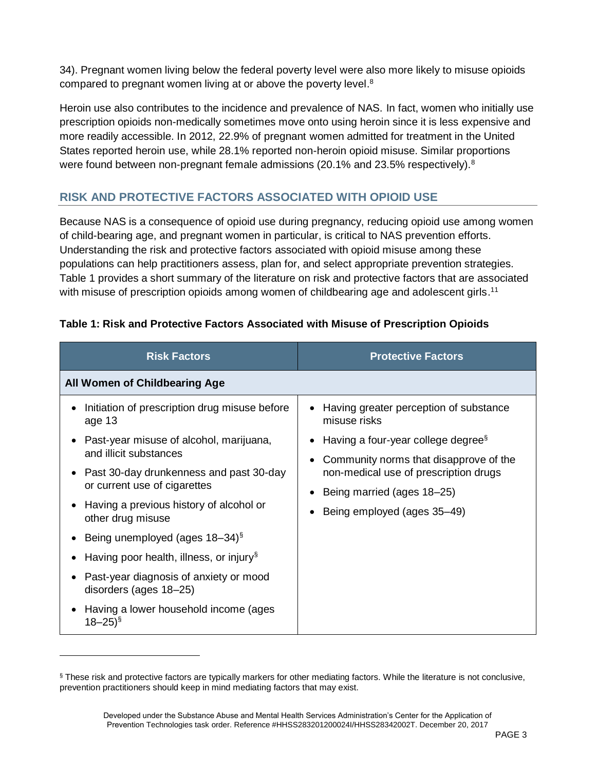34). Pregnant women living below the federal poverty level were also more likely to misuse opioids compared to pregnant women living at or above the poverty level.<sup>8</sup>

Heroin use also contributes to the incidence and prevalence of NAS. In fact, women who initially use prescription opioids non-medically sometimes move onto using heroin since it is less expensive and more readily accessible. In 2012, 22.9% of pregnant women admitted for treatment in the United States reported heroin use, while 28.1% reported non-heroin opioid misuse. Similar proportions were found between non-pregnant female admissions (20.1% and 23.5% respectively).<sup>8</sup>

# **RISK AND PROTECTIVE FACTORS ASSOCIATED WITH OPIOID USE**

Because NAS is a consequence of opioid use during pregnancy, reducing opioid use among women of child-bearing age, and pregnant women in particular, is critical to NAS prevention efforts. Understanding the risk and protective factors associated with opioid misuse among these populations can help practitioners assess, plan for, and select appropriate prevention strategies. Table 1 provides a short summary of the literature on risk and protective factors that are associated with misuse of prescription opioids among women of childbearing age and adolescent girls.<sup>11</sup>

| <b>Risk Factors</b>                                                     | <b>Protective Factors</b>                                           |
|-------------------------------------------------------------------------|---------------------------------------------------------------------|
| All Women of Childbearing Age                                           |                                                                     |
| Initiation of prescription drug misuse before<br>age 13                 | Having greater perception of substance<br>$\bullet$<br>misuse risks |
| Past-year misuse of alcohol, marijuana,                                 | Having a four-year college degree <sup>§</sup>                      |
| and illicit substances                                                  | Community norms that disapprove of the<br>$\bullet$                 |
| Past 30-day drunkenness and past 30-day<br>or current use of cigarettes | non-medical use of prescription drugs                               |
|                                                                         | Being married (ages 18–25)<br>٠                                     |
| Having a previous history of alcohol or<br>other drug misuse            | Being employed (ages 35–49)<br>$\bullet$                            |
| Being unemployed (ages 18–34) <sup>§</sup>                              |                                                                     |
| Having poor health, illness, or injury <sup>§</sup>                     |                                                                     |
| Past-year diagnosis of anxiety or mood<br>disorders (ages 18–25)        |                                                                     |
| Having a lower household income (ages<br>$18 - 25$ <sup>§</sup>         |                                                                     |

# **Table 1: Risk and Protective Factors Associated with Misuse of Prescription Opioids**

<sup>§</sup> These risk and protective factors are typically markers for other mediating factors. While the literature is not conclusive, prevention practitioners should keep in mind mediating factors that may exist.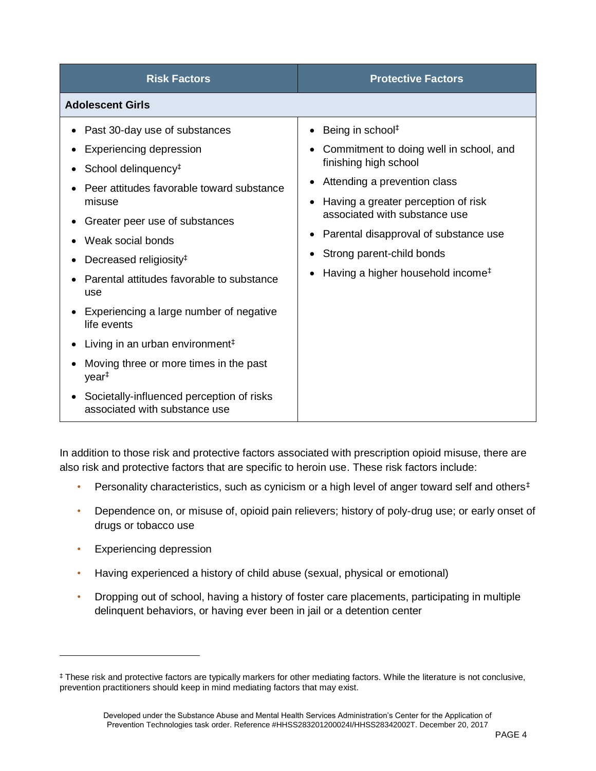| <b>Risk Factors</b>                                                                                                                                                                                                                                                                                                                                                                                                                                           | <b>Protective Factors</b>                                                                                                                                                                                                                                                                                                                                                         |
|---------------------------------------------------------------------------------------------------------------------------------------------------------------------------------------------------------------------------------------------------------------------------------------------------------------------------------------------------------------------------------------------------------------------------------------------------------------|-----------------------------------------------------------------------------------------------------------------------------------------------------------------------------------------------------------------------------------------------------------------------------------------------------------------------------------------------------------------------------------|
| <b>Adolescent Girls</b>                                                                                                                                                                                                                                                                                                                                                                                                                                       |                                                                                                                                                                                                                                                                                                                                                                                   |
| Past 30-day use of substances<br><b>Experiencing depression</b><br>School delinquency <sup>#</sup><br>Peer attitudes favorable toward substance<br>misuse<br>Greater peer use of substances<br>Weak social bonds<br>Decreased religiosity <sup>#</sup><br>Parental attitudes favorable to substance<br>use<br>Experiencing a large number of negative<br>life events<br>Living in an urban environment <sup>‡</sup><br>Moving three or more times in the past | Being in school#<br>$\bullet$<br>Commitment to doing well in school, and<br>$\bullet$<br>finishing high school<br>Attending a prevention class<br>$\bullet$<br>Having a greater perception of risk<br>$\bullet$<br>associated with substance use<br>Parental disapproval of substance use<br>٠<br>Strong parent-child bonds<br>٠<br>Having a higher household income <sup>#</sup> |
| year <sup>#</sup><br>Societally-influenced perception of risks<br>associated with substance use                                                                                                                                                                                                                                                                                                                                                               |                                                                                                                                                                                                                                                                                                                                                                                   |

In addition to those risk and protective factors associated with prescription opioid misuse, there are also risk and protective factors that are specific to heroin use. These risk factors include:

- Personality characteristics, such as cynicism or a high level of anger toward self and others<sup>‡</sup>
- Dependence on, or misuse of, opioid pain relievers; history of poly-drug use; or early onset of drugs or tobacco use
- Experiencing depression
- Having experienced a history of child abuse (sexual, physical or emotional)
- Dropping out of school, having a history of foster care placements, participating in multiple delinquent behaviors, or having ever been in jail or a detention center

<sup>‡</sup> These risk and protective factors are typically markers for other mediating factors. While the literature is not conclusive, prevention practitioners should keep in mind mediating factors that may exist.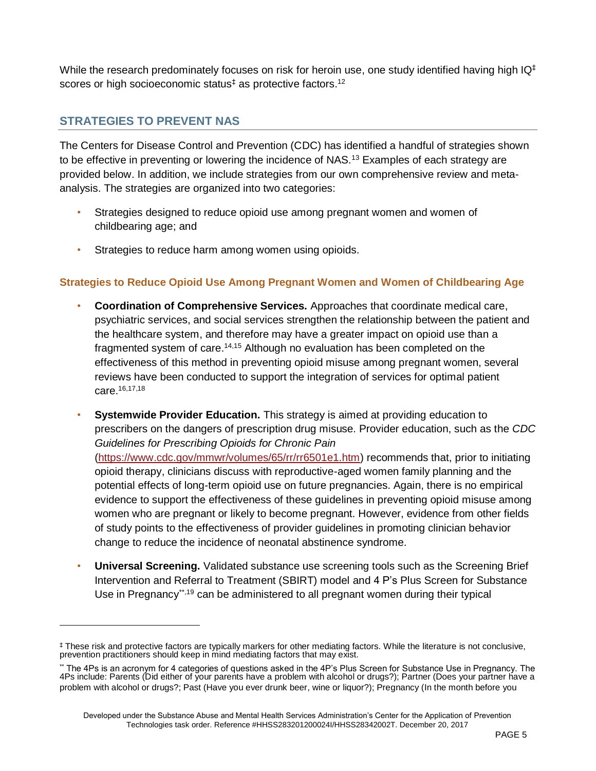While the research predominately focuses on risk for heroin use, one study identified having high  $IQ<sup>‡</sup>$ scores or high socioeconomic status<sup> $‡$ </sup> as protective factors.<sup>12</sup>

# **STRATEGIES TO PREVENT NAS**

The Centers for Disease Control and Prevention (CDC) has identified a handful of strategies shown to be effective in preventing or lowering the incidence of NAS.<sup>13</sup> Examples of each strategy are provided below. In addition, we include strategies from our own comprehensive review and metaanalysis. The strategies are organized into two categories:

- Strategies designed to reduce opioid use among pregnant women and women of childbearing age; and
- Strategies to reduce harm among women using opioids.

# **Strategies to Reduce Opioid Use Among Pregnant Women and Women of Childbearing Age**

- **Coordination of Comprehensive Services.** Approaches that coordinate medical care, psychiatric services, and social services strengthen the relationship between the patient and the healthcare system, and therefore may have a greater impact on opioid use than a fragmented system of care.<sup>14,15</sup> Although no evaluation has been completed on the effectiveness of this method in preventing opioid misuse among pregnant women, several reviews have been conducted to support the integration of services for optimal patient care. 16,17,18
- **Systemwide Provider Education.** This strategy is aimed at providing education to prescribers on the dangers of prescription drug misuse. Provider education, such as the *CDC Guidelines for Prescribing Opioids for Chronic Pain* [\(https://www.cdc.gov/mmwr/volumes/65/rr/rr6501e1.htm\)](https://www.cdc.gov/mmwr/volumes/65/rr/rr6501e1.htm) recommends that, prior to initiating opioid therapy, clinicians discuss with reproductive-aged women family planning and the potential effects of long-term opioid use on future pregnancies. Again, there is no empirical evidence to support the effectiveness of these guidelines in preventing opioid misuse among women who are pregnant or likely to become pregnant. However, evidence from other fields of study points to the effectiveness of provider guidelines in promoting clinician behavior change to reduce the incidence of neonatal abstinence syndrome.
- **Universal Screening.** Validated substance use screening tools such as the Screening Brief Intervention and Referral to Treatment (SBIRT) model and 4 P's Plus Screen for Substance Use in Pregnancy<sup>\*\*,19</sup> can be administered to all pregnant women during their typical

<sup>‡</sup> These risk and protective factors are typically markers for other mediating factors. While the literature is not conclusive, prevention practitioners should keep in mind mediating factors that may exist.

<sup>\*\*</sup> The 4Ps is an acronym for 4 categories of questions asked in the 4P's Plus Screen for Substance Use in Pregnancy. The 4Ps include: Parents (Did either of your parents have a problem with alcohol or drugs?); Partner (Does your partner have a problem with alcohol or drugs?; Past (Have you ever drunk beer, wine or liquor?); Pregnancy (In the month before you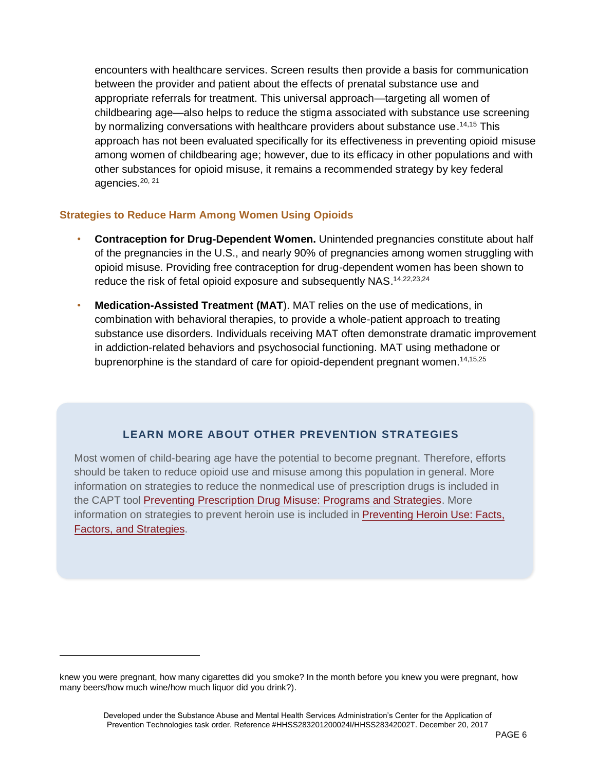encounters with healthcare services. Screen results then provide a basis for communication between the provider and patient about the effects of prenatal substance use and appropriate referrals for treatment. This universal approach—targeting all women of childbearing age—also helps to reduce the stigma associated with substance use screening by normalizing conversations with healthcare providers about substance use.<sup>14,15</sup> This approach has not been evaluated specifically for its effectiveness in preventing opioid misuse among women of childbearing age; however, due to its efficacy in other populations and with other substances for opioid misuse, it remains a recommended strategy by key federal agencies.<sup>20, 21</sup>

### **Strategies to Reduce Harm Among Women Using Opioids**

- **Contraception for Drug-Dependent Women.** Unintended pregnancies constitute about half of the pregnancies in the U.S., and nearly 90% of pregnancies among women struggling with opioid misuse. Providing free contraception for drug-dependent women has been shown to reduce the risk of fetal opioid exposure and subsequently NAS.<sup>14,22,23,24</sup>
- **Medication-Assisted Treatment (MAT**). MAT relies on the use of medications, in combination with behavioral therapies, to provide a whole-patient approach to treating substance use disorders. Individuals receiving MAT often demonstrate dramatic improvement in addiction-related behaviors and psychosocial functioning. MAT using methadone or buprenorphine is the standard of care for opioid-dependent pregnant women.<sup>14,15,25</sup>

# **LEARN MORE ABOUT OTHER PREVENTION STRATEGIES**

Most women of child-bearing age have the potential to become pregnant. Therefore, efforts should be taken to reduce opioid use and misuse among this population in general. More information on strategies to reduce the nonmedical use of prescription drugs is included in the CAPT tool [Preventing Prescription Drug Misuse: Programs and Strategies.](https://preventionsolutions.edc.org/services/resources/preventing-prescription-drug-misuse-programs-and-strategies) More information on strategies to prevent heroin use is included in [Preventing Heroin Use: Facts,](https://preventionsolutions.edc.org/services/resources/preventing-heroin-use-facts-figures-and-strategies-issues-brief) [Factors, and Strategies.](https://preventionsolutions.edc.org/services/resources/preventing-heroin-use-facts-figures-and-strategies-issues-brief)

knew you were pregnant, how many cigarettes did you smoke? In the month before you knew you were pregnant, how many beers/how much wine/how much liquor did you drink?).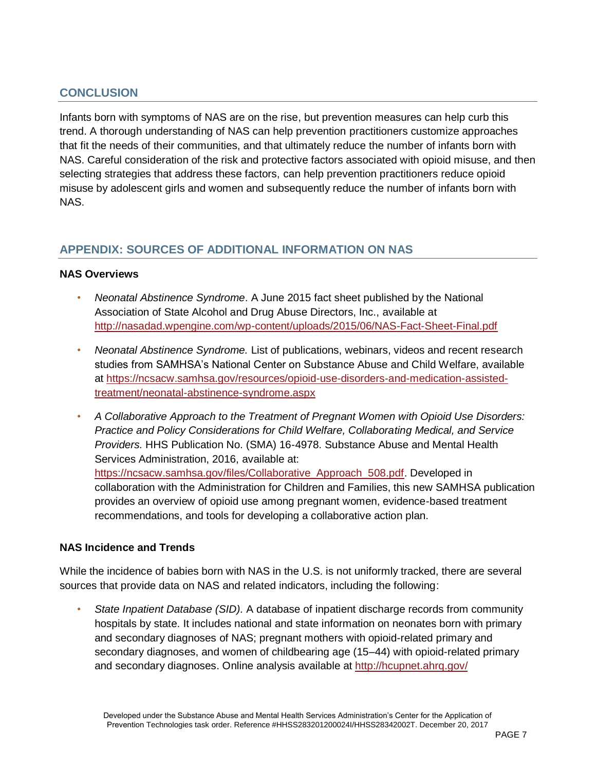# **CONCLUSION**

Infants born with symptoms of NAS are on the rise, but prevention measures can help curb this trend. A thorough understanding of NAS can help prevention practitioners customize approaches that fit the needs of their communities, and that ultimately reduce the number of infants born with NAS. Careful consideration of the risk and protective factors associated with opioid misuse, and then selecting strategies that address these factors, can help prevention practitioners reduce opioid misuse by adolescent girls and women and subsequently reduce the number of infants born with NAS.

# **APPENDIX: SOURCES OF ADDITIONAL INFORMATION ON NAS**

#### **NAS Overviews**

- *Neonatal Abstinence Syndrome*. A June 2015 fact sheet published by the National Association of State Alcohol and Drug Abuse Directors, Inc., available at <http://nasadad.wpengine.com/wp-content/uploads/2015/06/NAS-Fact-Sheet-Final.pdf>
- *Neonatal Abstinence Syndrome.* List of publications, webinars, videos and recent research studies from SAMHSA's National Center on Substance Abuse and Child Welfare, available at [https://ncsacw.samhsa.gov/resources/opioid-use-disorders-and-medication-assisted](https://ncsacw.samhsa.gov/resources/opioid-use-disorders-and-medication-assisted-treatment/neonatal-abstinence-syndrome.aspx)[treatment/neonatal-abstinence-syndrome.aspx](https://ncsacw.samhsa.gov/resources/opioid-use-disorders-and-medication-assisted-treatment/neonatal-abstinence-syndrome.aspx)
- *A Collaborative Approach to the Treatment of Pregnant Women with Opioid Use Disorders: Practice and Policy Considerations for Child Welfare, Collaborating Medical, and Service Providers.* HHS Publication No. (SMA) 16-4978. Substance Abuse and Mental Health Services Administration, 2016, available at: [https://ncsacw.samhsa.gov/files/Collaborative\\_Approach\\_508.pdf.](https://ncsacw.samhsa.gov/files/Collaborative_Approach_508.pdf) Developed in collaboration with the Administration for Children and Families, this new SAMHSA publication provides an overview of opioid use among pregnant women, evidence-based treatment recommendations, and tools for developing a collaborative action plan.

# **NAS Incidence and Trends**

While the incidence of babies born with NAS in the U.S. is not uniformly tracked, there are several sources that provide data on NAS and related indicators, including the following:

• *State Inpatient Database (SID).* A database of inpatient discharge records from community hospitals by state. It includes national and state information on neonates born with primary and secondary diagnoses of NAS; pregnant mothers with opioid-related primary and secondary diagnoses, and women of childbearing age (15–44) with opioid-related primary and secondary diagnoses. Online analysis available at<http://hcupnet.ahrq.gov/>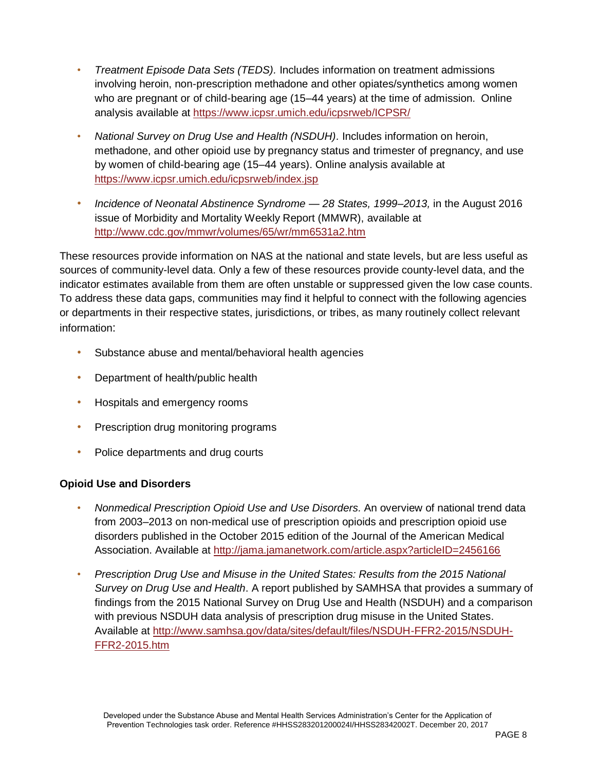- *Treatment Episode Data Sets (TEDS).* Includes information on treatment admissions involving heroin, non-prescription methadone and other opiates/synthetics among women who are pregnant or of child-bearing age (15–44 years) at the time of admission. Online analysis available at <https://www.icpsr.umich.edu/icpsrweb/ICPSR/>
- *National Survey on Drug Use and Health (NSDUH).* Includes information on heroin, methadone, and other opioid use by pregnancy status and trimester of pregnancy, and use by women of child-bearing age (15–44 years). Online analysis available at <https://www.icpsr.umich.edu/icpsrweb/index.jsp>
- *Incidence of Neonatal Abstinence Syndrome — 28 States, 1999–2013,* in the August 2016 issue of Morbidity and Mortality Weekly Report (MMWR), available at <http://www.cdc.gov/mmwr/volumes/65/wr/mm6531a2.htm>

These resources provide information on NAS at the national and state levels, but are less useful as sources of community-level data. Only a few of these resources provide county-level data, and the indicator estimates available from them are often unstable or suppressed given the low case counts. To address these data gaps, communities may find it helpful to connect with the following agencies or departments in their respective states, jurisdictions, or tribes, as many routinely collect relevant information:

- Substance abuse and mental/behavioral health agencies
- Department of health/public health
- Hospitals and emergency rooms
- Prescription drug monitoring programs
- Police departments and drug courts

# **Opioid Use and Disorders**

- *Nonmedical Prescription Opioid Use and Use Disorders.* An overview of national trend data from 2003–2013 on non-medical use of prescription opioids and prescription opioid use disorders published in the October 2015 edition of the Journal of the American Medical Association. Available at<http://jama.jamanetwork.com/article.aspx?articleID=2456166>
- *Prescription Drug Use and Misuse in the United States: Results from the 2015 National Survey on Drug Use and Health*. A report published by SAMHSA that provides a summary of findings from the 2015 National Survey on Drug Use and Health (NSDUH) and a comparison with previous NSDUH data analysis of prescription drug misuse in the United States. Available at [http://www.samhsa.gov/data/sites/default/files/NSDUH-FFR2-2015/NSDUH-](http://www.samhsa.gov/data/sites/default/files/NSDUH-FFR2-2015/NSDUH-FFR2-2015.htm)[FFR2-2015.htm](http://www.samhsa.gov/data/sites/default/files/NSDUH-FFR2-2015/NSDUH-FFR2-2015.htm)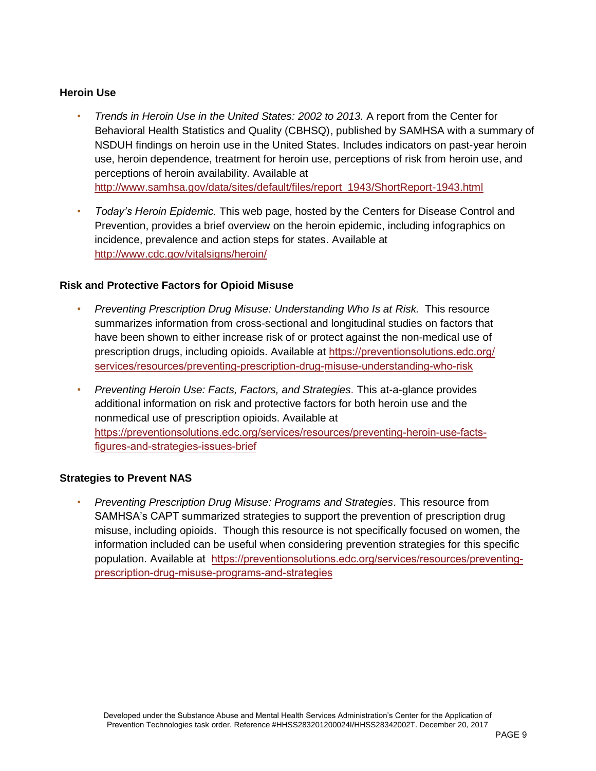#### **Heroin Use**

- *Trends in Heroin Use in the United States: 2002 to 2013.* A report from the Center for Behavioral Health Statistics and Quality (CBHSQ), published by SAMHSA with a summary of NSDUH findings on heroin use in the United States. Includes indicators on past-year heroin use, heroin dependence, treatment for heroin use, perceptions of risk from heroin use, and perceptions of heroin availability. Available at [http://www.samhsa.gov/data/sites/default/files/report\\_1943/ShortReport-1943.html](http://www.samhsa.gov/data/sites/default/files/report_1943/ShortReport-1943.html)
- *Today's Heroin Epidemic.* This web page, hosted by the Centers for Disease Control and Prevention, provides a brief overview on the heroin epidemic, including infographics on incidence, prevalence and action steps for states. Available at <http://www.cdc.gov/vitalsigns/heroin/>

### **Risk and Protective Factors for Opioid Misuse**

- *Preventing Prescription Drug Misuse: Understanding Who Is at Risk.* This resource summarizes information from cross-sectional and longitudinal studies on factors that have been shown to either increase risk of or protect against the non-medical use of prescription drugs, including opioids. Available at https://preventionsolutions.edc.org/ [services/resources/preventing-prescription-drug-misuse-understanding-who-risk](https://preventionsolutions.edc.org/services/resources/preventing-prescription-drug-misuse-understanding-who-risk)
- *Preventing Heroin Use: Facts, Factors, and Strategies*. This at-a-glance provides additional information on risk and protective factors for both heroin use and the nonmedical use of prescription opioids. Available at [https://preventionsolutions.edc.org/services/resources/preventing-heroin-use-facts](https://preventionsolutions.edc.org/services/resources/preventing-heroin-use-facts-figures-and-strategies-issues-brief)figures-and-strategies-issues-brief

#### **Strategies to Prevent NAS**

• *Preventing Prescription Drug Misuse: Programs and Strategies.* This resource from SAMHSA's CAPT summarized strategies to support the prevention of prescription drug misuse, including opioids. Though this resource is not specifically focused on women, the information included can be useful when considering prevention strategies for this specific population. Available at [https://preventionsolutions.edc.org/services/resources/preventing](https://preventionsolutions.edc.org/services/resources/preventing-prescription-drug-misuse-programs-and-strategies)[prescription-drug-misuse-programs-and-strategies](https://preventionsolutions.edc.org/services/resources/preventing-prescription-drug-misuse-programs-and-strategies)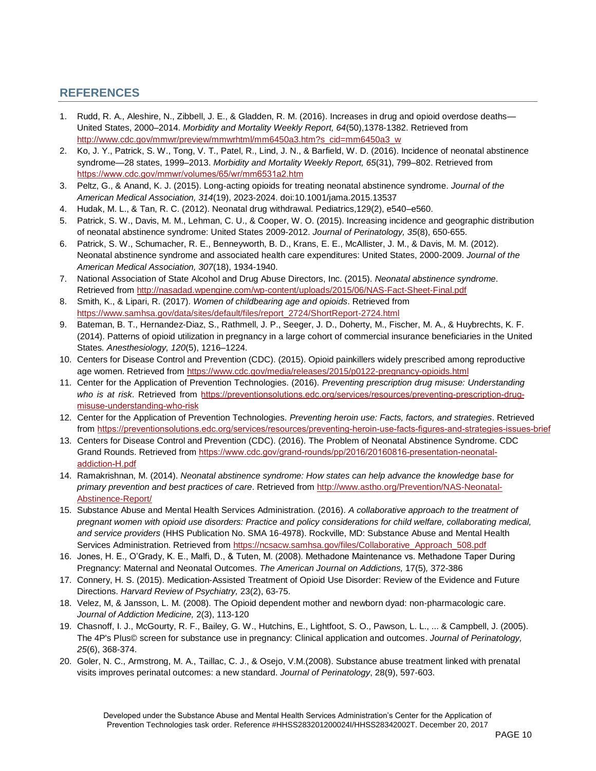# **REFERENCES**

- 1. Rudd, R. A., Aleshire, N., Zibbell, J. E., & Gladden, R. M. (2016). Increases in drug and opioid overdose deaths— United States, 2000–2014. *Morbidity and Mortality Weekly Report, 64*(50),1378-1382. Retrieved from [http://www.cdc.gov/mmwr/preview/mmwrhtml/mm6450a3.htm?s\\_cid=mm6450a3\\_w](http://www.cdc.gov/mmwr/preview/mmwrhtml/mm6450a3.htm?s_cid=mm6450a3_w)
- 2. Ko, J. Y., Patrick, S. W., Tong, V. T., Patel, R., Lind, J. N., & Barfield, W. D. (2016). Incidence of neonatal abstinence syndrome—28 states, 1999–2013. *Morbidity and Mortality Weekly Report, 65*(31), 799–802. Retrieved from <https://www.cdc.gov/mmwr/volumes/65/wr/mm6531a2.htm>
- 3. Peltz, G., & Anand, K. J. (2015). Long-acting opioids for treating neonatal abstinence syndrome. *Journal of the American Medical Association, 314*(19), 2023-2024. doi:10.1001/jama.2015.13537
- 4. Hudak, M. L., & Tan, R. C. (2012). Neonatal drug withdrawal. Pediatrics,129(2), e540–e560.
- 5. Patrick, S. W., Davis, M. M., Lehman, C. U., & Cooper, W. O. (2015). Increasing incidence and geographic distribution of neonatal abstinence syndrome: United States 2009-2012. *Journal of Perinatology, 35*(8), 650-655.
- 6. Patrick, S. W., Schumacher, R. E., Benneyworth, B. D., Krans, E. E., McAllister, J. M., & Davis, M. M. (2012). Neonatal abstinence syndrome and associated health care expenditures: United States, 2000-2009. *Journal of the American Medical Association, 307*(18), 1934-1940.
- 7. National Association of State Alcohol and Drug Abuse Directors, Inc. (2015). *Neonatal abstinence syndrome*. Retrieved fro[m http://nasadad.wpengine.com/wp-content/uploads/2015/06/NAS-Fact-Sheet-Final.pdf](http://nasadad.wpengine.com/wp-content/uploads/2015/06/NAS-Fact-Sheet-Final.pdf)
- 8. Smith, K., & Lipari, R. (2017). *Women of childbearing age and opioids*. Retrieved from [https://www.samhsa.gov/data/sites/default/files/report\\_2724/ShortReport-2724.html](https://www.samhsa.gov/data/sites/default/files/report_2724/ShortReport-2724.html)
- 9. Bateman, B. T., Hernandez-Diaz, S., Rathmell, J. P., Seeger, J. D., Doherty, M., Fischer, M. A., & Huybrechts, K. F. (2014). Patterns of opioid utilization in pregnancy in a large cohort of commercial insurance beneficiaries in the United States*. Anesthesiology, 120*(5), 1216–1224.
- 10. Centers for Disease Control and Prevention (CDC). (2015). Opioid painkillers widely prescribed among reproductive age women. Retrieved from<https://www.cdc.gov/media/releases/2015/p0122-pregnancy-opioids.html>
- 11. Center for the Application of Prevention Technologies. (2016). *Preventing prescription drug misuse: Understanding who is at risk*. Retrieved from [https://preventionsolutions.edc.org/services/resources/preventing-prescription-drug](https://preventionsolutions.edc.org/services/resources/preventing-prescription-drug-misuse-understanding-who-risk)[misuse-understanding-who-risk](https://preventionsolutions.edc.org/services/resources/preventing-prescription-drug-misuse-understanding-who-risk)
- 12. Center for the Application of Prevention Technologies. *Preventing heroin use: Facts, factors, and strategies*. Retrieved from <https://preventionsolutions.edc.org/services/resources/preventing-heroin-use-facts-figures-and-strategies-issues-brief>
- 13. Centers for Disease Control and Prevention (CDC). (2016). The Problem of Neonatal Abstinence Syndrome. CDC Grand Rounds. Retrieved from [https://www.cdc.gov/grand-rounds/pp/2016/20160816-presentation-neonatal](https://www.cdc.gov/grand-rounds/pp/2016/20160816-presentation-neonatal-addiction-H.pdf)[addiction-H.pdf](https://www.cdc.gov/grand-rounds/pp/2016/20160816-presentation-neonatal-addiction-H.pdf)
- 14. Ramakrishnan, M. (2014). *Neonatal abstinence syndrome: How states can help advance the knowledge base for primary prevention and best practices of care*. Retrieved from [http://www.astho.org/Prevention/NAS-Neonatal-](http://www.astho.org/Prevention/NAS-Neonatal-Abstinence-Report/)[Abstinence-Report/](http://www.astho.org/Prevention/NAS-Neonatal-Abstinence-Report/)
- 15. Substance Abuse and Mental Health Services Administration. (2016). *A collaborative approach to the treatment of pregnant women with opioid use disorders: Practice and policy considerations for child welfare, collaborating medical, and service providers* (HHS Publication No. SMA 16-4978). Rockville, MD: Substance Abuse and Mental Health Services Administration. Retrieved from [https://ncsacw.samhsa.gov/files/Collaborative\\_Approach\\_508.pdf](https://ncsacw.samhsa.gov/files/Collaborative_Approach_508.pdf)
- 16. Jones, H. E., O'Grady, K. E., Malfi, D., & Tuten, M. (2008). Methadone Maintenance vs. Methadone Taper During Pregnancy: Maternal and Neonatal Outcomes. *The American Journal on Addictions,* 17(5)*,* 372-386
- 17. Connery, H. S. (2015). Medication-Assisted Treatment of Opioid Use Disorder: Review of the Evidence and Future Directions. *Harvard Review of Psychiatry,* 23(2), 63-75.
- 18. Velez, M, & Jansson, L. M. (2008). The Opioid dependent mother and newborn dyad: non-pharmacologic care. *Journal of Addiction Medicine,* 2(3), 113-120
- 19. Chasnoff, I. J., McGourty, R. F., Bailey, G. W., Hutchins, E., Lightfoot, S. O., Pawson, L. L., ... & Campbell, J. (2005). The 4P's Plus© screen for substance use in pregnancy: Clinical application and outcomes. *Journal of Perinatology, 25*(6), 368-374.
- 20. Goler, N. C., Armstrong, M. A., Taillac, C. J., & Osejo, V.M.(2008). Substance abuse treatment linked with prenatal visits improves perinatal outcomes: a new standard. *Journal of Perinatology*, 28(9), 597-603.